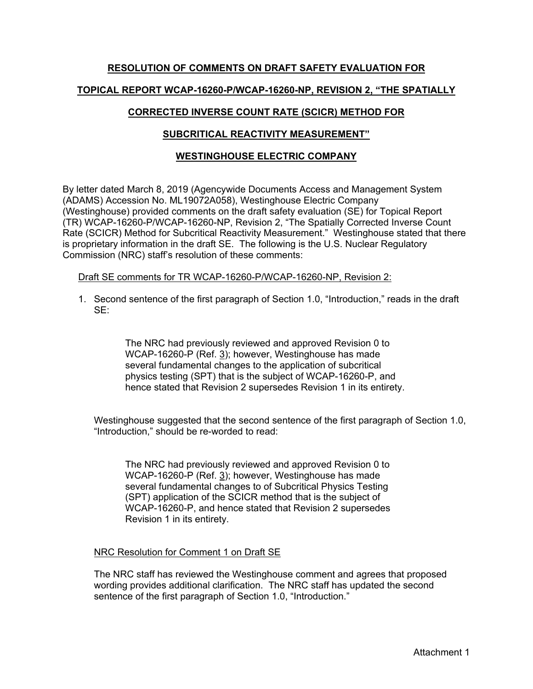# **RESOLUTION OF COMMENTS ON DRAFT SAFETY EVALUATION FOR TOPICAL REPORT WCAP-16260-P/WCAP-16260-NP, REVISION 2, "THE SPATIALLY**

# **CORRECTED INVERSE COUNT RATE (SCICR) METHOD FOR**

## **SUBCRITICAL REACTIVITY MEASUREMENT"**

### **WESTINGHOUSE ELECTRIC COMPANY**

By letter dated March 8, 2019 (Agencywide Documents Access and Management System (ADAMS) Accession No. ML19072A058), Westinghouse Electric Company (Westinghouse) provided comments on the draft safety evaluation (SE) for Topical Report (TR) WCAP-16260-P/WCAP-16260-NP, Revision 2, "The Spatially Corrected Inverse Count Rate (SCICR) Method for Subcritical Reactivity Measurement." Westinghouse stated that there is proprietary information in the draft SE. The following is the U.S. Nuclear Regulatory Commission (NRC) staff's resolution of these comments:

Draft SE comments for TR WCAP-16260-P/WCAP-16260-NP, Revision 2:

1. Second sentence of the first paragraph of Section 1.0, "Introduction," reads in the draft SE:

> The NRC had previously reviewed and approved Revision 0 to WCAP-16260-P (Ref. 3); however, Westinghouse has made several fundamental changes to the application of subcritical physics testing (SPT) that is the subject of WCAP-16260-P, and hence stated that Revision 2 supersedes Revision 1 in its entirety.

Westinghouse suggested that the second sentence of the first paragraph of Section 1.0, "Introduction," should be re-worded to read:

The NRC had previously reviewed and approved Revision 0 to WCAP-16260-P (Ref. 3); however, Westinghouse has made several fundamental changes to of Subcritical Physics Testing (SPT) application of the SCICR method that is the subject of WCAP-16260-P, and hence stated that Revision 2 supersedes Revision 1 in its entirety.

#### NRC Resolution for Comment 1 on Draft SE

The NRC staff has reviewed the Westinghouse comment and agrees that proposed wording provides additional clarification. The NRC staff has updated the second sentence of the first paragraph of Section 1.0, "Introduction."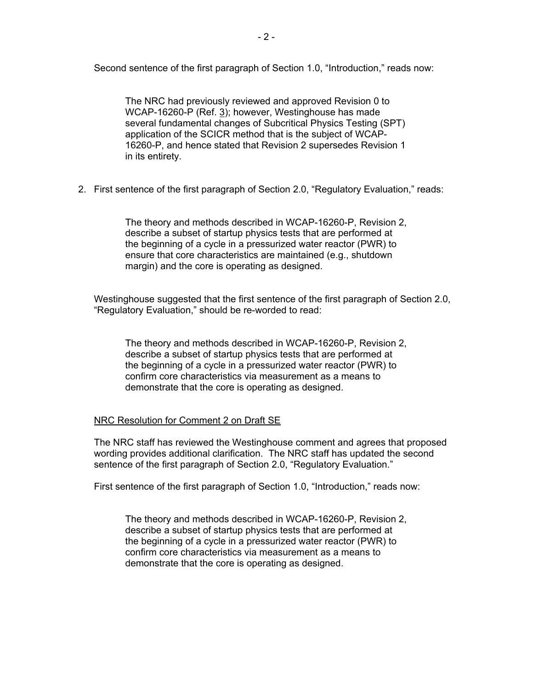Second sentence of the first paragraph of Section 1.0, "Introduction," reads now:

The NRC had previously reviewed and approved Revision 0 to WCAP-16260-P (Ref. 3); however, Westinghouse has made several fundamental changes of Subcritical Physics Testing (SPT) application of the SCICR method that is the subject of WCAP-16260-P, and hence stated that Revision 2 supersedes Revision 1 in its entirety.

2. First sentence of the first paragraph of Section 2.0, "Regulatory Evaluation," reads:

The theory and methods described in WCAP-16260-P, Revision 2, describe a subset of startup physics tests that are performed at the beginning of a cycle in a pressurized water reactor (PWR) to ensure that core characteristics are maintained (e.g., shutdown margin) and the core is operating as designed.

Westinghouse suggested that the first sentence of the first paragraph of Section 2.0, "Regulatory Evaluation," should be re-worded to read:

The theory and methods described in WCAP-16260-P, Revision 2, describe a subset of startup physics tests that are performed at the beginning of a cycle in a pressurized water reactor (PWR) to confirm core characteristics via measurement as a means to demonstrate that the core is operating as designed.

#### NRC Resolution for Comment 2 on Draft SE

The NRC staff has reviewed the Westinghouse comment and agrees that proposed wording provides additional clarification. The NRC staff has updated the second sentence of the first paragraph of Section 2.0, "Regulatory Evaluation."

First sentence of the first paragraph of Section 1.0, "Introduction," reads now:

The theory and methods described in WCAP-16260-P, Revision 2, describe a subset of startup physics tests that are performed at the beginning of a cycle in a pressurized water reactor (PWR) to confirm core characteristics via measurement as a means to demonstrate that the core is operating as designed.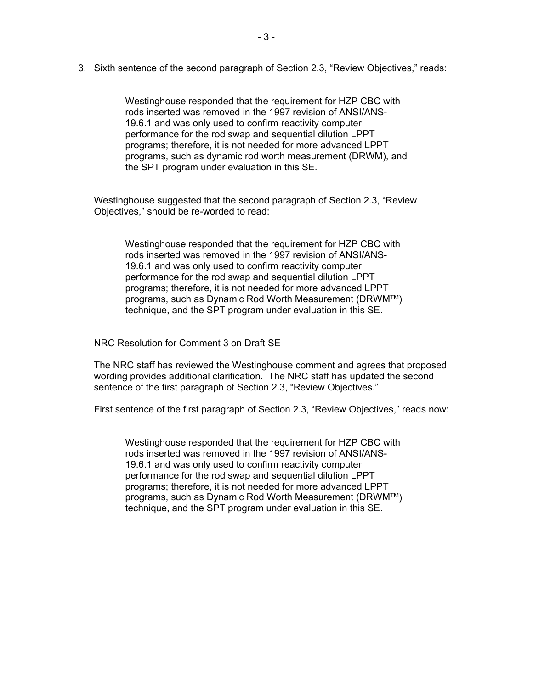3. Sixth sentence of the second paragraph of Section 2.3, "Review Objectives," reads:

Westinghouse responded that the requirement for HZP CBC with rods inserted was removed in the 1997 revision of ANSI/ANS-19.6.1 and was only used to confirm reactivity computer performance for the rod swap and sequential dilution LPPT programs; therefore, it is not needed for more advanced LPPT programs, such as dynamic rod worth measurement (DRWM), and the SPT program under evaluation in this SE.

Westinghouse suggested that the second paragraph of Section 2.3, "Review Objectives," should be re-worded to read:

Westinghouse responded that the requirement for HZP CBC with rods inserted was removed in the 1997 revision of ANSI/ANS-19.6.1 and was only used to confirm reactivity computer performance for the rod swap and sequential dilution LPPT programs; therefore, it is not needed for more advanced LPPT programs, such as Dynamic Rod Worth Measurement (DRWM™) technique, and the SPT program under evaluation in this SE.

#### NRC Resolution for Comment 3 on Draft SE

The NRC staff has reviewed the Westinghouse comment and agrees that proposed wording provides additional clarification. The NRC staff has updated the second sentence of the first paragraph of Section 2.3, "Review Objectives."

First sentence of the first paragraph of Section 2.3, "Review Objectives," reads now:

Westinghouse responded that the requirement for HZP CBC with rods inserted was removed in the 1997 revision of ANSI/ANS-19.6.1 and was only used to confirm reactivity computer performance for the rod swap and sequential dilution LPPT programs; therefore, it is not needed for more advanced LPPT programs, such as Dynamic Rod Worth Measurement (DRWM™) technique, and the SPT program under evaluation in this SE.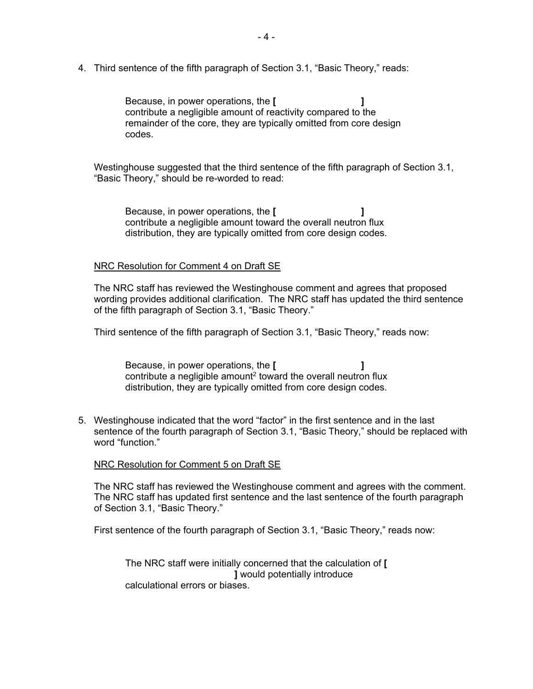4. Third sentence of the fifth paragraph of Section 3.1, "Basic Theory," reads:

Because, in power operations, the **[ ]** contribute a negligible amount of reactivity compared to the remainder of the core, they are typically omitted from core design codes.

Westinghouse suggested that the third sentence of the fifth paragraph of Section 3.1, "Basic Theory," should be re-worded to read:

Because, in power operations, the **[ ]** contribute a negligible amount toward the overall neutron flux distribution, they are typically omitted from core design codes.

#### NRC Resolution for Comment 4 on Draft SE

The NRC staff has reviewed the Westinghouse comment and agrees that proposed wording provides additional clarification. The NRC staff has updated the third sentence of the fifth paragraph of Section 3.1, "Basic Theory."

Third sentence of the fifth paragraph of Section 3.1, "Basic Theory," reads now:

Because, in power operations, the **[ ]** contribute a negligible amount<sup>2</sup> toward the overall neutron flux distribution, they are typically omitted from core design codes.

5. Westinghouse indicated that the word "factor" in the first sentence and in the last sentence of the fourth paragraph of Section 3.1, "Basic Theory," should be replaced with word "function."

#### NRC Resolution for Comment 5 on Draft SE

The NRC staff has reviewed the Westinghouse comment and agrees with the comment. The NRC staff has updated first sentence and the last sentence of the fourth paragraph of Section 3.1, "Basic Theory."

First sentence of the fourth paragraph of Section 3.1, "Basic Theory," reads now:

The NRC staff were initially concerned that the calculation of **[ ]** would potentially introduce calculational errors or biases.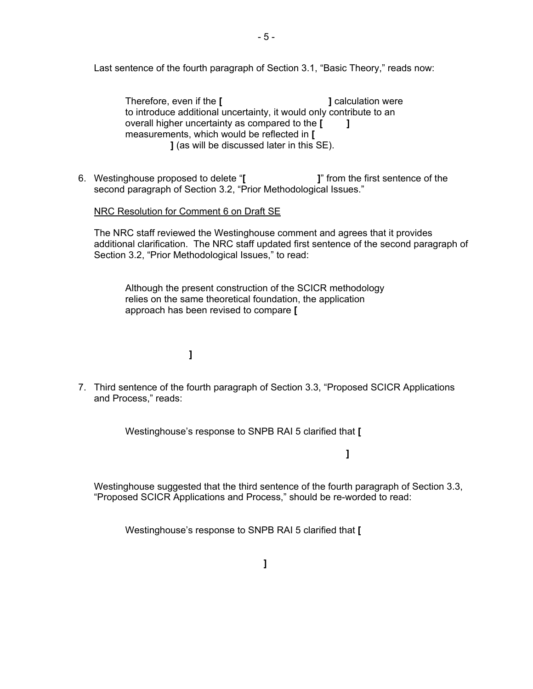Last sentence of the fourth paragraph of Section 3.1, "Basic Theory," reads now:

Therefore, even if the **[ ]** calculation were to introduce additional uncertainty, it would only contribute to an overall higher uncertainty as compared to the **[ ]** measurements, which would be reflected in **[ ]** (as will be discussed later in this SE).

6. Westinghouse proposed to delete "**[ ]**" from the first sentence of the second paragraph of Section 3.2, "Prior Methodological Issues."

#### NRC Resolution for Comment 6 on Draft SE

The NRC staff reviewed the Westinghouse comment and agrees that it provides additional clarification. The NRC staff updated first sentence of the second paragraph of Section 3.2, "Prior Methodological Issues," to read:

Although the present construction of the SCICR methodology relies on the same theoretical foundation, the application approach has been revised to compare **[**

# **]**

7. Third sentence of the fourth paragraph of Section 3.3, "Proposed SCICR Applications and Process," reads:

Westinghouse's response to SNPB RAI 5 clarified that **[**

**]**

Westinghouse suggested that the third sentence of the fourth paragraph of Section 3.3, "Proposed SCICR Applications and Process," should be re-worded to read:

Westinghouse's response to SNPB RAI 5 clarified that **[**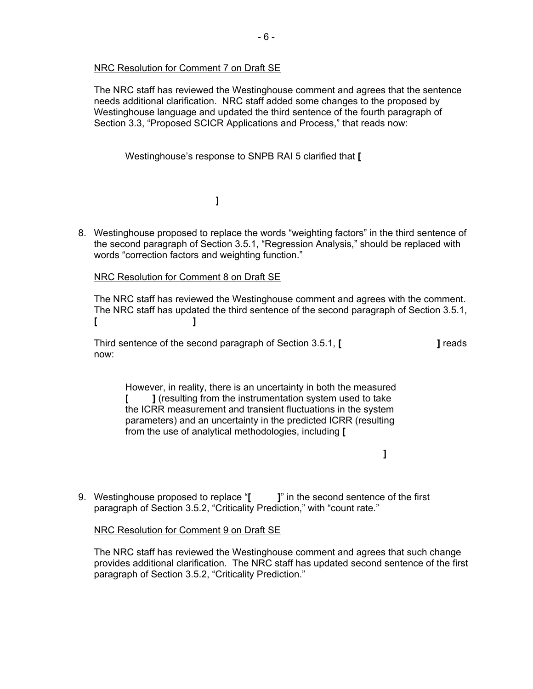#### NRC Resolution for Comment 7 on Draft SE

The NRC staff has reviewed the Westinghouse comment and agrees that the sentence needs additional clarification. NRC staff added some changes to the proposed by Westinghouse language and updated the third sentence of the fourth paragraph of Section 3.3, "Proposed SCICR Applications and Process," that reads now:

Westinghouse's response to SNPB RAI 5 clarified that **[**

**]**

8. Westinghouse proposed to replace the words "weighting factors" in the third sentence of the second paragraph of Section 3.5.1, "Regression Analysis," should be replaced with words "correction factors and weighting function."

#### NRC Resolution for Comment 8 on Draft SE

The NRC staff has reviewed the Westinghouse comment and agrees with the comment. The NRC staff has updated the third sentence of the second paragraph of Section 3.5.1, **[ ]** 

Third sentence of the second paragraph of Section 3.5.1, **[ ]** reads now:

However, in reality, there is an uncertainty in both the measured **[ ]** (resulting from the instrumentation system used to take the ICRR measurement and transient fluctuations in the system parameters) and an uncertainty in the predicted ICRR (resulting from the use of analytical methodologies, including **[**

**]**

9. Westinghouse proposed to replace "**[ ]**" in the second sentence of the first paragraph of Section 3.5.2, "Criticality Prediction," with "count rate."

#### NRC Resolution for Comment 9 on Draft SE

The NRC staff has reviewed the Westinghouse comment and agrees that such change provides additional clarification. The NRC staff has updated second sentence of the first paragraph of Section 3.5.2, "Criticality Prediction."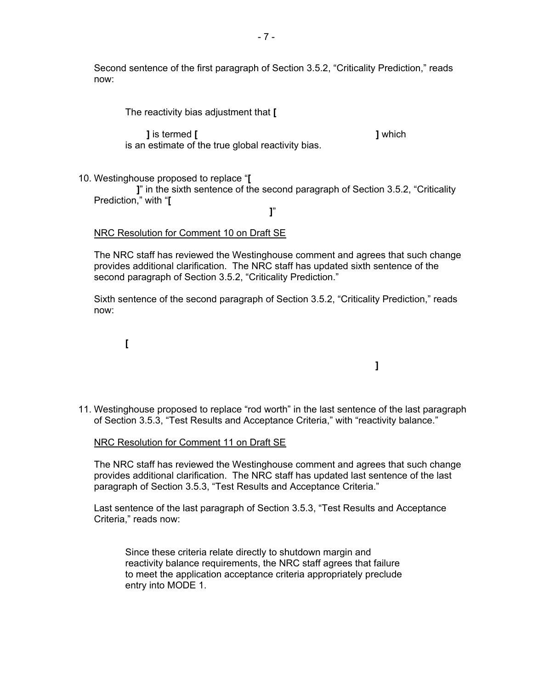Second sentence of the first paragraph of Section 3.5.2, "Criticality Prediction," reads now:

The reactivity bias adjustment that **[**

 **]** is termed **[ ]** which is an estimate of the true global reactivity bias.

10. Westinghouse proposed to replace "**[**

 **]**" in the sixth sentence of the second paragraph of Section 3.5.2, "Criticality Prediction," with "**[**

**]**"

#### NRC Resolution for Comment 10 on Draft SE

The NRC staff has reviewed the Westinghouse comment and agrees that such change provides additional clarification. The NRC staff has updated sixth sentence of the second paragraph of Section 3.5.2, "Criticality Prediction."

Sixth sentence of the second paragraph of Section 3.5.2, "Criticality Prediction," reads now:

**[**

11. Westinghouse proposed to replace "rod worth" in the last sentence of the last paragraph of Section 3.5.3, "Test Results and Acceptance Criteria," with "reactivity balance."

**]** 

#### NRC Resolution for Comment 11 on Draft SE

The NRC staff has reviewed the Westinghouse comment and agrees that such change provides additional clarification. The NRC staff has updated last sentence of the last paragraph of Section 3.5.3, "Test Results and Acceptance Criteria."

Last sentence of the last paragraph of Section 3.5.3, "Test Results and Acceptance Criteria," reads now:

Since these criteria relate directly to shutdown margin and reactivity balance requirements, the NRC staff agrees that failure to meet the application acceptance criteria appropriately preclude entry into MODE 1.